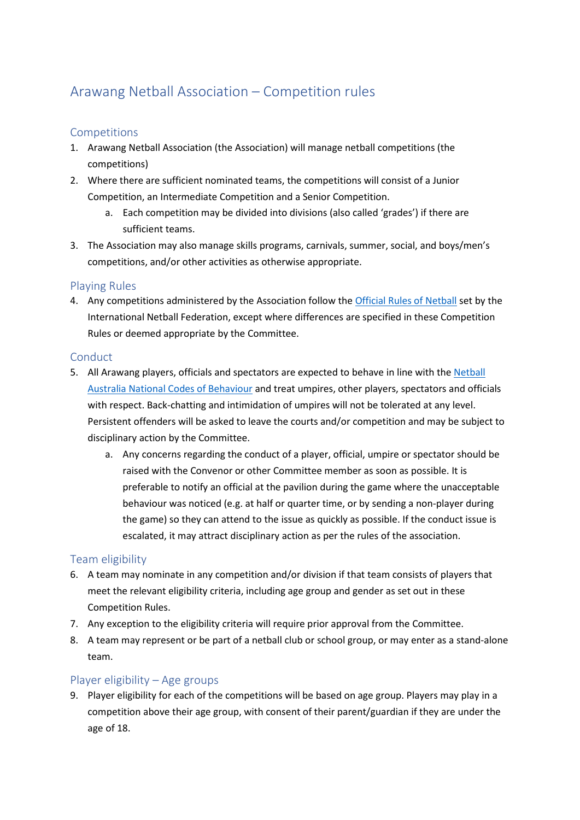# Arawang Netball Association – Competition rules

## Competitions

- 1. Arawang Netball Association (the Association) will manage netball competitions (the competitions)
- 2. Where there are sufficient nominated teams, the competitions will consist of a Junior Competition, an Intermediate Competition and a Senior Competition.
	- Each competition may be divided into divisions (also called 'grades') if there are sufficient teams.
- 3. The Association may also manage skills programs, carnivals, summer, social, and boys/men's competitions, and/or other activities as otherwise appropriate.

## Playing Rules

4. Any competitions administered by the Association follow th[e Official Rules of Netball](https://netball.com.au/rules-netball) set by the International Netball Federation, except where differences are specified in these Competition Rules or deemed appropriate by the Committee.

#### Conduct

- 5. All Arawang players, officials and spectators are expected to behave in line with the [Netball](https://www.childabuseroyalcommission.gov.au/sites/default/files/NETA.0002.001.0124.pdf)  [Australia National Codes of Behaviour](https://www.childabuseroyalcommission.gov.au/sites/default/files/NETA.0002.001.0124.pdf) and treat umpires, other players, spectators and officials with respect. Back-chatting and intimidation of umpires will not be tolerated at any level. Persistent offenders will be asked to leave the courts and/or competition and may be subject to disciplinary action by the Committee.
	- a. Any concerns regarding the conduct of a player, official, umpire or spectator should be raised with the Convenor or other Committee member as soon as possible. It is preferable to notify an official at the pavilion during the game where the unacceptable behaviour was noticed (e.g. at half or quarter time, or by sending a non-player during the game) so they can attend to the issue as quickly as possible. If the conduct issue is escalated, it may attract disciplinary action as per the rules of the association.

## Team eligibility

- 6. A team may nominate in any competition and/or division if that team consists of players that meet the relevant eligibility criteria, including age group and gender as set out in these Competition Rules.
- 7. Any exception to the eligibility criteria will require prior approval from the Committee.
- 8. A team may represent or be part of a netball club or school group, or may enter as a stand-alone team.

## Player eligibility – Age groups

9. Player eligibility for each of the competitions will be based on age group. Players may play in a competition above their age group, with consent of their parent/guardian if they are under the age of 18.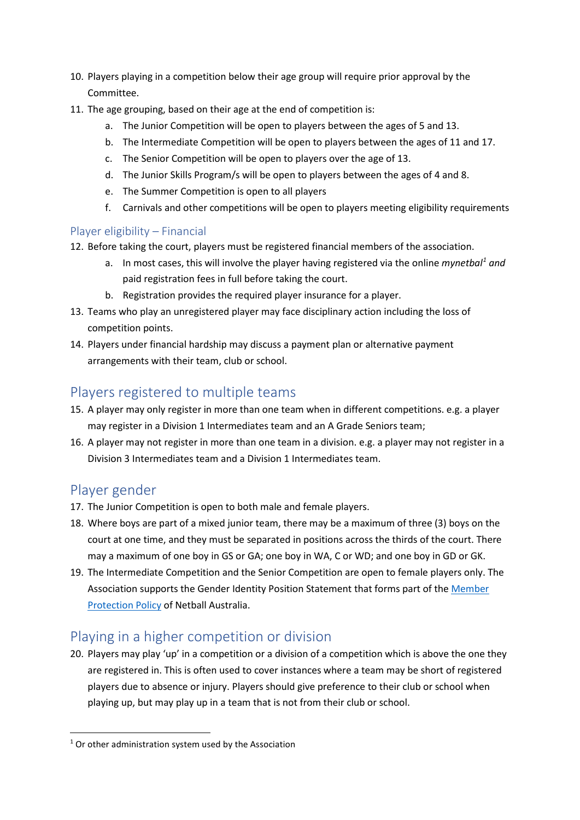- 10. Players playing in a competition below their age group will require prior approval by the Committee.
- 11. The age grouping, based on their age at the end of competition is:
	- a. The Junior Competition will be open to players between the ages of 5 and 13.
	- b. The Intermediate Competition will be open to players between the ages of 11 and 17.
	- c. The Senior Competition will be open to players over the age of 13.
	- d. The Junior Skills Program/s will be open to players between the ages of 4 and 8.
	- e. The Summer Competition is open to all players
	- f. Carnivals and other competitions will be open to players meeting eligibility requirements

## Player eligibility – Financial

- 12. Before taking the court, players must be registered financial members of the association.
	- a. In most cases, this will involve the player having registered via the online *mynetbal[1](#page-1-0) and*  paid registration fees in full before taking the court.
	- b. Registration provides the required player insurance for a player.
- 13. Teams who play an unregistered player may face disciplinary action including the loss of competition points.
- 14. Players under financial hardship may discuss a payment plan or alternative payment arrangements with their team, club or school.

## Players registered to multiple teams

- 15. A player may only register in more than one team when in different competitions. e.g. a player may register in a Division 1 Intermediates team and an A Grade Seniors team;
- 16. A player may not register in more than one team in a division. e.g. a player may not register in a Division 3 Intermediates team and a Division 1 Intermediates team.

# Player gender

- 17. The Junior Competition is open to both male and female players.
- 18. Where boys are part of a mixed junior team, there may be a maximum of three (3) boys on the court at one time, and they must be separated in positions across the thirds of the court. There may a maximum of one boy in GS or GA; one boy in WA, C or WD; and one boy in GD or GK.
- 19. The Intermediate Competition and the Senior Competition are open to female players only. The Association supports the Gender Identity Position Statement that forms part of the [Member](https://netball.com.au/sites/default/files/2019-07/Member-Protection-Policy-and-Attachments_FINAL-APRIL-2017.pdf)  [Protection Policy](https://netball.com.au/sites/default/files/2019-07/Member-Protection-Policy-and-Attachments_FINAL-APRIL-2017.pdf) of Netball Australia.

# Playing in a higher competition or division

20. Players may play 'up' in a competition or a division of a competition which is above the one they are registered in. This is often used to cover instances where a team may be short of registered players due to absence or injury. Players should give preference to their club or school when playing up, but may play up in a team that is not from their club or school.

<span id="page-1-0"></span> $1$  Or other administration system used by the Association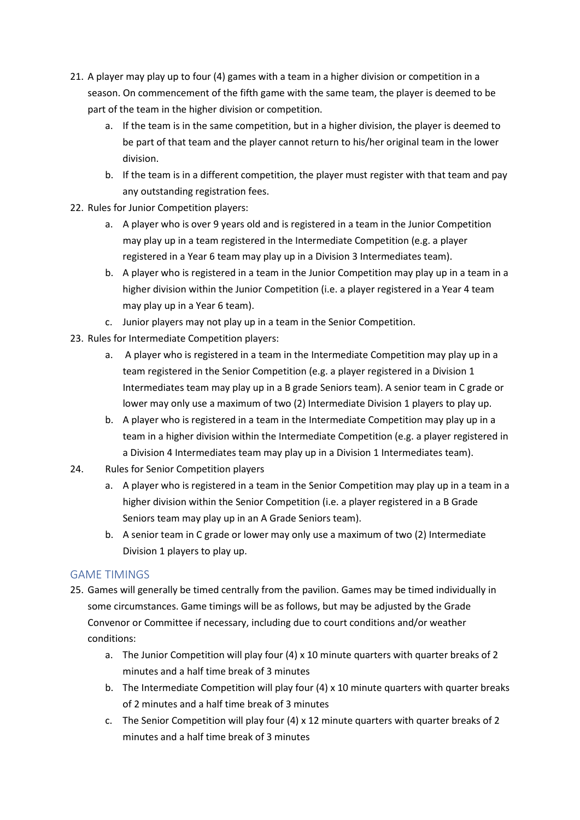- 21. A player may play up to four (4) games with a team in a higher division or competition in a season. On commencement of the fifth game with the same team, the player is deemed to be part of the team in the higher division or competition.
	- a. If the team is in the same competition, but in a higher division, the player is deemed to be part of that team and the player cannot return to his/her original team in the lower division.
	- b. If the team is in a different competition, the player must register with that team and pay any outstanding registration fees.
- 22. Rules for Junior Competition players:
	- a. A player who is over 9 years old and is registered in a team in the Junior Competition may play up in a team registered in the Intermediate Competition (e.g. a player registered in a Year 6 team may play up in a Division 3 Intermediates team).
	- b. A player who is registered in a team in the Junior Competition may play up in a team in a higher division within the Junior Competition (i.e. a player registered in a Year 4 team may play up in a Year 6 team).
	- c. Junior players may not play up in a team in the Senior Competition.
- 23. Rules for Intermediate Competition players:
	- a. A player who is registered in a team in the Intermediate Competition may play up in a team registered in the Senior Competition (e.g. a player registered in a Division 1 Intermediates team may play up in a B grade Seniors team). A senior team in C grade or lower may only use a maximum of two (2) Intermediate Division 1 players to play up.
	- b. A player who is registered in a team in the Intermediate Competition may play up in a team in a higher division within the Intermediate Competition (e.g. a player registered in a Division 4 Intermediates team may play up in a Division 1 Intermediates team).
- 24. Rules for Senior Competition players
	- a. A player who is registered in a team in the Senior Competition may play up in a team in a higher division within the Senior Competition (i.e. a player registered in a B Grade Seniors team may play up in an A Grade Seniors team).
	- b. A senior team in C grade or lower may only use a maximum of two (2) Intermediate Division 1 players to play up.

## GAME TIMINGS

- 25. Games will generally be timed centrally from the pavilion. Games may be timed individually in some circumstances. Game timings will be as follows, but may be adjusted by the Grade Convenor or Committee if necessary, including due to court conditions and/or weather conditions:
	- a. The Junior Competition will play four (4) x 10 minute quarters with quarter breaks of 2 minutes and a half time break of 3 minutes
	- b. The Intermediate Competition will play four  $(4)$  x 10 minute quarters with quarter breaks of 2 minutes and a half time break of 3 minutes
	- c. The Senior Competition will play four (4) x 12 minute quarters with quarter breaks of 2 minutes and a half time break of 3 minutes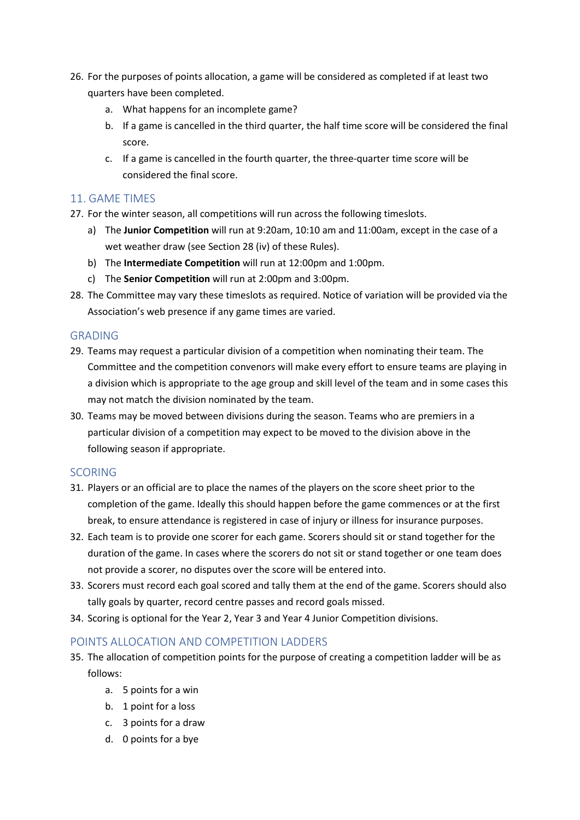- 26. For the purposes of points allocation, a game will be considered as completed if at least two quarters have been completed.
	- a. What happens for an incomplete game?
	- b. If a game is cancelled in the third quarter, the half time score will be considered the final score.
	- c. If a game is cancelled in the fourth quarter, the three-quarter time score will be considered the final score.

#### 11. GAME TIMES

- 27. For the winter season, all competitions will run across the following timeslots.
	- a) The **Junior Competition** will run at 9:20am, 10:10 am and 11:00am, except in the case of a wet weather draw (see Section 28 (iv) of these Rules).
	- b) The **Intermediate Competition** will run at 12:00pm and 1:00pm.
	- c) The **Senior Competition** will run at 2:00pm and 3:00pm.
- 28. The Committee may vary these timeslots as required. Notice of variation will be provided via the Association's web presence if any game times are varied.

#### GRADING

- 29. Teams may request a particular division of a competition when nominating their team. The Committee and the competition convenors will make every effort to ensure teams are playing in a division which is appropriate to the age group and skill level of the team and in some cases this may not match the division nominated by the team.
- 30. Teams may be moved between divisions during the season. Teams who are premiers in a particular division of a competition may expect to be moved to the division above in the following season if appropriate.

#### **SCORING**

- 31. Players or an official are to place the names of the players on the score sheet prior to the completion of the game. Ideally this should happen before the game commences or at the first break, to ensure attendance is registered in case of injury or illness for insurance purposes.
- 32. Each team is to provide one scorer for each game. Scorers should sit or stand together for the duration of the game. In cases where the scorers do not sit or stand together or one team does not provide a scorer, no disputes over the score will be entered into.
- 33. Scorers must record each goal scored and tally them at the end of the game. Scorers should also tally goals by quarter, record centre passes and record goals missed.
- 34. Scoring is optional for the Year 2, Year 3 and Year 4 Junior Competition divisions.

## POINTS ALLOCATION AND COMPETITION LADDERS

- 35. The allocation of competition points for the purpose of creating a competition ladder will be as follows:
	- a. 5 points for a win
	- b. 1 point for a loss
	- c. 3 points for a draw
	- d. 0 points for a bye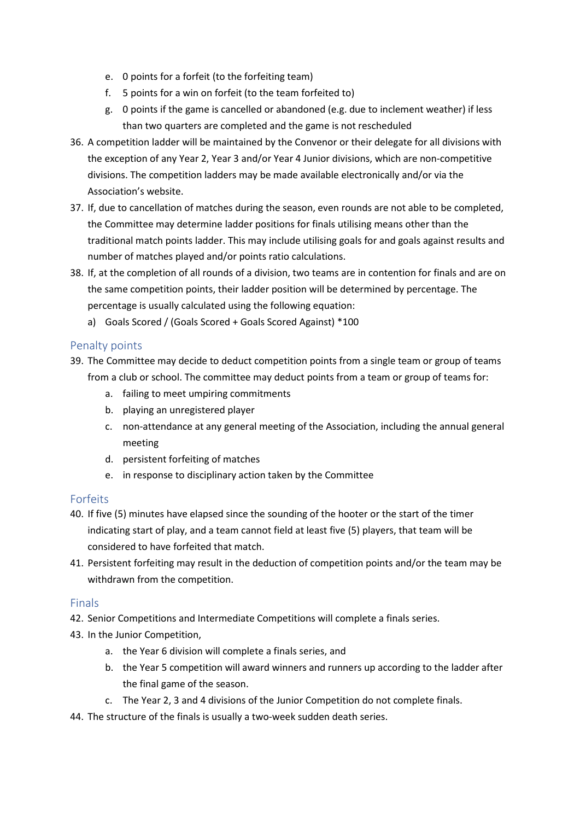- e. 0 points for a forfeit (to the forfeiting team)
- f. 5 points for a win on forfeit (to the team forfeited to)
- g. 0 points if the game is cancelled or abandoned (e.g. due to inclement weather) if less than two quarters are completed and the game is not rescheduled
- 36. A competition ladder will be maintained by the Convenor or their delegate for all divisions with the exception of any Year 2, Year 3 and/or Year 4 Junior divisions, which are non-competitive divisions. The competition ladders may be made available electronically and/or via the Association's website.
- 37. If, due to cancellation of matches during the season, even rounds are not able to be completed, the Committee may determine ladder positions for finals utilising means other than the traditional match points ladder. This may include utilising goals for and goals against results and number of matches played and/or points ratio calculations.
- 38. If, at the completion of all rounds of a division, two teams are in contention for finals and are on the same competition points, their ladder position will be determined by percentage. The percentage is usually calculated using the following equation:
	- a) Goals Scored / (Goals Scored + Goals Scored Against) \*100

#### Penalty points

- 39. The Committee may decide to deduct competition points from a single team or group of teams from a club or school. The committee may deduct points from a team or group of teams for:
	- a. failing to meet umpiring commitments
	- b. playing an unregistered player
	- c. non-attendance at any general meeting of the Association, including the annual general meeting
	- d. persistent forfeiting of matches
	- e. in response to disciplinary action taken by the Committee

#### Forfeits

- 40. If five (5) minutes have elapsed since the sounding of the hooter or the start of the timer indicating start of play, and a team cannot field at least five (5) players, that team will be considered to have forfeited that match.
- 41. Persistent forfeiting may result in the deduction of competition points and/or the team may be withdrawn from the competition.

#### Finals

- 42. Senior Competitions and Intermediate Competitions will complete a finals series.
- 43. In the Junior Competition,
	- a. the Year 6 division will complete a finals series, and
	- b. the Year 5 competition will award winners and runners up according to the ladder after the final game of the season.
	- c. The Year 2, 3 and 4 divisions of the Junior Competition do not complete finals.
- 44. The structure of the finals is usually a two-week sudden death series.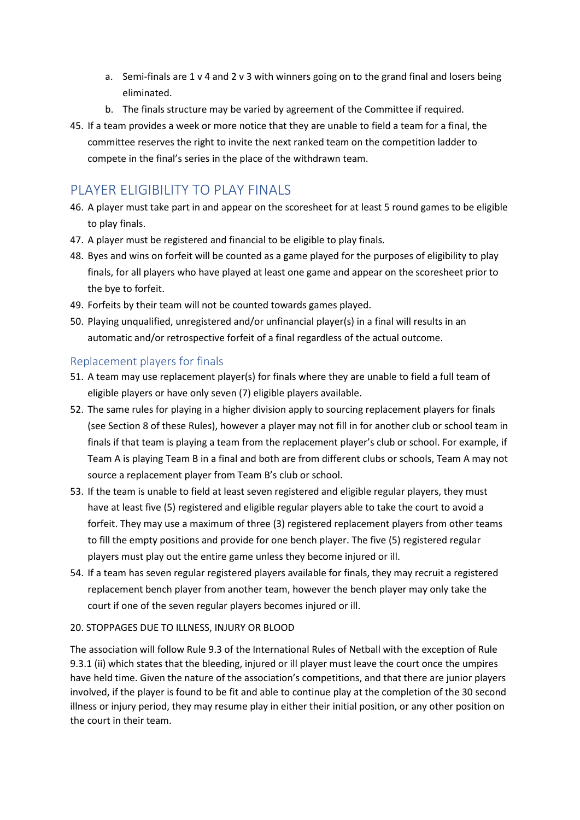- a. Semi-finals are 1 v 4 and 2 v 3 with winners going on to the grand final and losers being eliminated.
- b. The finals structure may be varied by agreement of the Committee if required.
- 45. If a team provides a week or more notice that they are unable to field a team for a final, the committee reserves the right to invite the next ranked team on the competition ladder to compete in the final's series in the place of the withdrawn team.

## PLAYER ELIGIBILITY TO PLAY FINALS

- 46. A player must take part in and appear on the scoresheet for at least 5 round games to be eligible to play finals.
- 47. A player must be registered and financial to be eligible to play finals.
- 48. Byes and wins on forfeit will be counted as a game played for the purposes of eligibility to play finals, for all players who have played at least one game and appear on the scoresheet prior to the bye to forfeit.
- 49. Forfeits by their team will not be counted towards games played.
- 50. Playing unqualified, unregistered and/or unfinancial player(s) in a final will results in an automatic and/or retrospective forfeit of a final regardless of the actual outcome.

#### Replacement players for finals

- 51. A team may use replacement player(s) for finals where they are unable to field a full team of eligible players or have only seven (7) eligible players available.
- 52. The same rules for playing in a higher division apply to sourcing replacement players for finals (see Section 8 of these Rules), however a player may not fill in for another club or school team in finals if that team is playing a team from the replacement player's club or school. For example, if Team A is playing Team B in a final and both are from different clubs or schools, Team A may not source a replacement player from Team B's club or school.
- 53. If the team is unable to field at least seven registered and eligible regular players, they must have at least five (5) registered and eligible regular players able to take the court to avoid a forfeit. They may use a maximum of three (3) registered replacement players from other teams to fill the empty positions and provide for one bench player. The five (5) registered regular players must play out the entire game unless they become injured or ill.
- 54. If a team has seven regular registered players available for finals, they may recruit a registered replacement bench player from another team, however the bench player may only take the court if one of the seven regular players becomes injured or ill.

#### 20. STOPPAGES DUE TO ILLNESS, INJURY OR BLOOD

The association will follow Rule 9.3 of the International Rules of Netball with the exception of Rule 9.3.1 (ii) which states that the bleeding, injured or ill player must leave the court once the umpires have held time. Given the nature of the association's competitions, and that there are junior players involved, if the player is found to be fit and able to continue play at the completion of the 30 second illness or injury period, they may resume play in either their initial position, or any other position on the court in their team.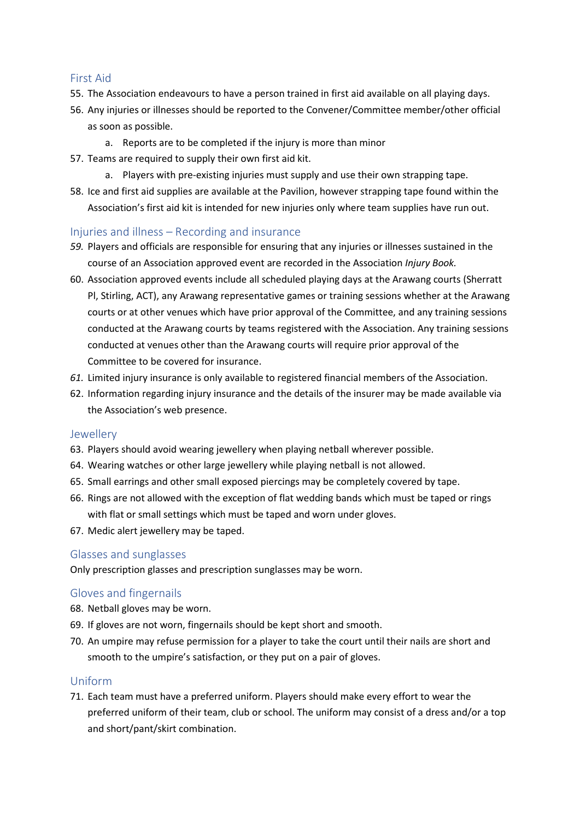#### First Aid

- 55. The Association endeavours to have a person trained in first aid available on all playing days.
- 56. Any injuries or illnesses should be reported to the Convener/Committee member/other official as soon as possible.
	- a. Reports are to be completed if the injury is more than minor
- 57. Teams are required to supply their own first aid kit.
	- a. Players with pre-existing injuries must supply and use their own strapping tape.
- 58. Ice and first aid supplies are available at the Pavilion, however strapping tape found within the Association's first aid kit is intended for new injuries only where team supplies have run out.

#### Injuries and illness – Recording and insurance

- *59.* Players and officials are responsible for ensuring that any injuries or illnesses sustained in the course of an Association approved event are recorded in the Association *Injury Book.*
- 60. Association approved events include all scheduled playing days at the Arawang courts (Sherratt Pl, Stirling, ACT), any Arawang representative games or training sessions whether at the Arawang courts or at other venues which have prior approval of the Committee, and any training sessions conducted at the Arawang courts by teams registered with the Association. Any training sessions conducted at venues other than the Arawang courts will require prior approval of the Committee to be covered for insurance.
- *61.* Limited injury insurance is only available to registered financial members of the Association.
- 62. Information regarding injury insurance and the details of the insurer may be made available via the Association's web presence.

#### Jewellery

- 63. Players should avoid wearing jewellery when playing netball wherever possible.
- 64. Wearing watches or other large jewellery while playing netball is not allowed.
- 65. Small earrings and other small exposed piercings may be completely covered by tape.
- 66. Rings are not allowed with the exception of flat wedding bands which must be taped or rings with flat or small settings which must be taped and worn under gloves.
- 67. Medic alert jewellery may be taped.

#### Glasses and sunglasses

Only prescription glasses and prescription sunglasses may be worn.

#### Gloves and fingernails

- 68. Netball gloves may be worn.
- 69. If gloves are not worn, fingernails should be kept short and smooth.
- 70. An umpire may refuse permission for a player to take the court until their nails are short and smooth to the umpire's satisfaction, or they put on a pair of gloves.

#### Uniform

71. Each team must have a preferred uniform. Players should make every effort to wear the preferred uniform of their team, club or school. The uniform may consist of a dress and/or a top and short/pant/skirt combination.